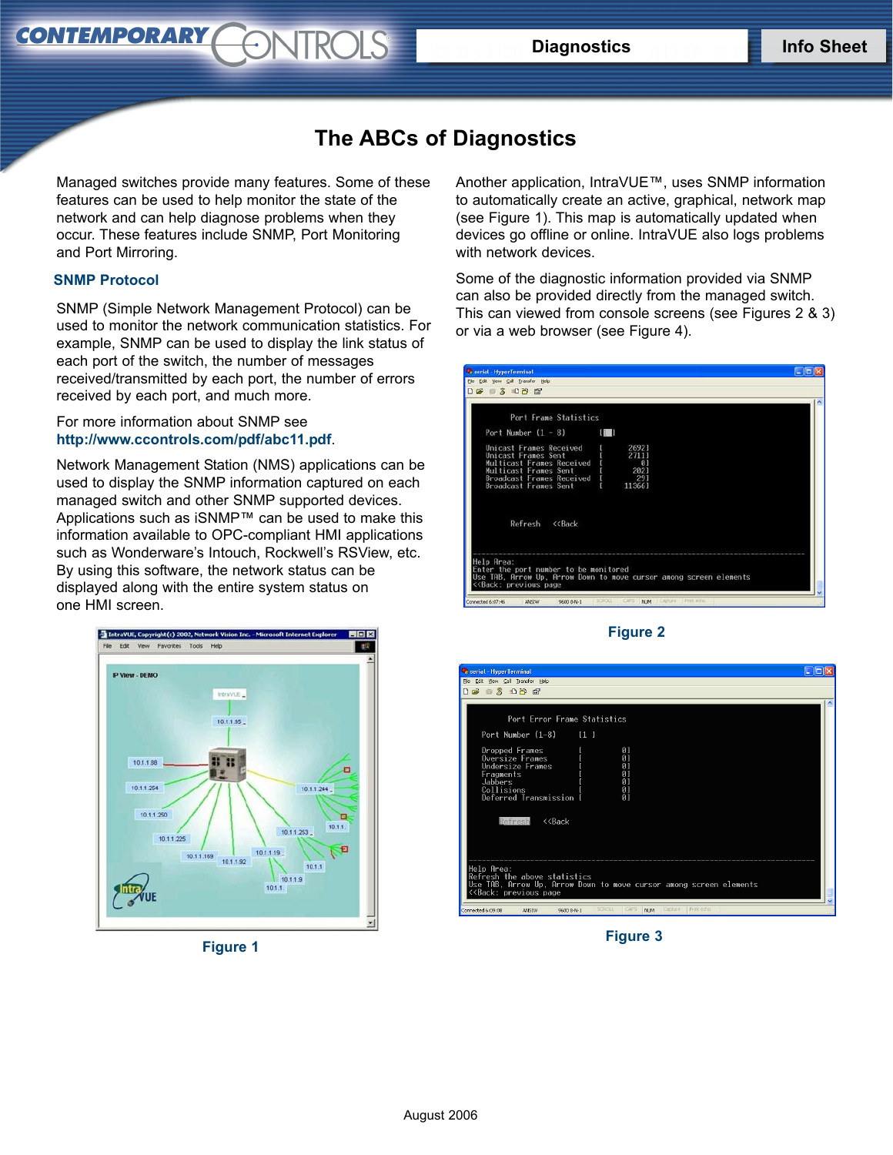## **The ABCs of Diagnostics**

*STROLS* 

Managed switches provide many features. Some of these features can be used to help monitor the state of the network and can help diagnose problems when they occur. These features include SNMP, Port Monitoring and Port Mirroring.

## **SNMP Protocol**

**CONTEMPORARY** 

SNMP (Simple Network Management Protocol) can be used to monitor the network communication statistics. For example, SNMP can be used to display the link status of each port of the switch, the number of messages received/transmitted by each port, the number of errors received by each port, and much more.

For more information about SNMP see **http://www.ccontrols[.com/pdf/abc11](http://www.ctrlink.com/pdf/abc11.pdf)[.pdf](http://www.ccontrols.com/pdf/abc11.pdf)**.

Network Management Station (NMS) applications can be used to display the SNMP information captured on each managed switch and other SNMP supported devices. Applications such as iSNMP™ can be used to make this information available to OPC-compliant HMI applications such as Wonderware's Intouch, Rockwell's RSView, etc. By using this software, the network status can be displayed along with the entire system status on one HMI screen.



**Figure 1**

Another application, IntraVUE™, uses SNMP information to automatically create an active, graphical, network map (see Figure 1). This map is automatically updated when devices go offline or online. IntraVUE also logs problems with network devices.

Some of the diagnostic information provided via SNMP can also be provided directly from the managed switch. This can viewed from console screens (see Figures 2 & 3) or via a web browser (see Figure 4).

| C serial - HyperTerminal                                                                                                                                                       | - 10 >                                                             |
|--------------------------------------------------------------------------------------------------------------------------------------------------------------------------------|--------------------------------------------------------------------|
| File Edit View Call Transfer Help                                                                                                                                              |                                                                    |
| 0803098                                                                                                                                                                        |                                                                    |
| Port Frame Statistics                                                                                                                                                          |                                                                    |
| Port Number $(1 - 8)$                                                                                                                                                          | 11                                                                 |
| Unicast Frames Received<br>Unicast Frames Sent<br>Multicast Frames Received<br>Multicast Frames Sent<br>Broadcast Frames Received [<br>Broadcast Frames Sent [                 | 26921<br>27111<br>$\Box$ 0<br>2021<br>291<br>113661                |
| Refresh<br>$<<$ Back                                                                                                                                                           |                                                                    |
| Help Area:<br>Enter the port number to be monitored<br>< <back: page<="" previous="" td=""><td>Use TAB. Arrow Up. Arrow Down to move cursor among screen elements</td></back:> | Use TAB. Arrow Up. Arrow Down to move cursor among screen elements |



**Figure 3**